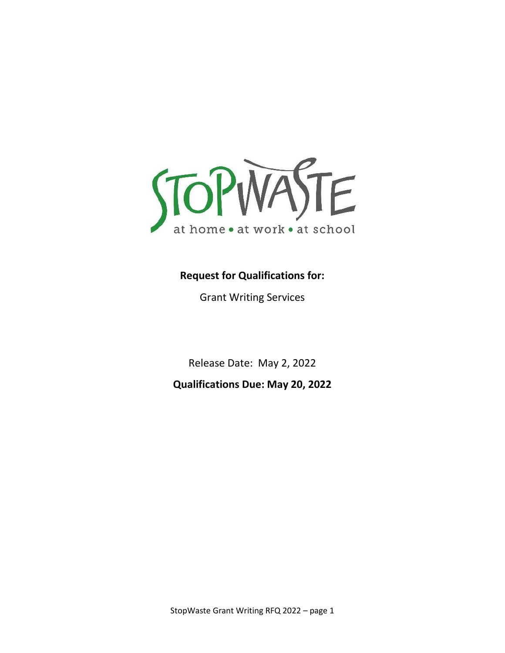

# **Request for Qualifications for:**

Grant Writing Services

Release Date: May 2, 2022

**Qualifications Due: May 20, 2022**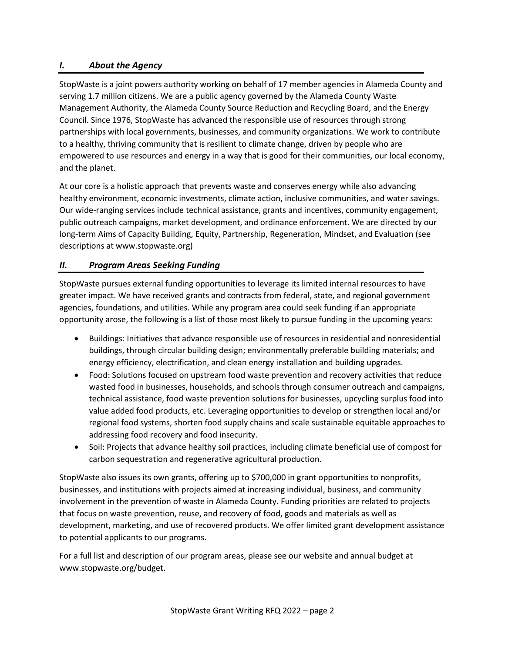#### *I. About the Agency*

StopWaste is a joint powers authority working on behalf of 17 member agencies in Alameda County and serving 1.7 million citizens. We are a public agency governed by the Alameda County Waste Management Authority, the Alameda County Source Reduction and Recycling Board, and the Energy Council. Since 1976, StopWaste has advanced the responsible use of resources through strong partnerships with local governments, businesses, and community organizations. We work to contribute to a healthy, thriving community that is resilient to climate change, driven by people who are empowered to use resources and energy in a way that is good for their communities, our local economy, and the planet.

At our core is a holistic approach that prevents waste and conserves energy while also advancing healthy environment, economic investments, climate action, inclusive communities, and water savings. Our wide-ranging services include technical assistance, grants and incentives, community engagement, public outreach campaigns, market development, and ordinance enforcement. We are directed by our long-term Aims of Capacity Building, Equity, Partnership, Regeneration, Mindset, and Evaluation (see descriptions at www.stopwaste.org)

#### *II. Program Areas Seeking Funding*

StopWaste pursues external funding opportunities to leverage its limited internal resources to have greater impact. We have received grants and contracts from federal, state, and regional government agencies, foundations, and utilities. While any program area could seek funding if an appropriate opportunity arose, the following is a list of those most likely to pursue funding in the upcoming years:

- Buildings: Initiatives that advance responsible use of resources in residential and nonresidential buildings, through circular building design; environmentally preferable building materials; and energy efficiency, electrification, and clean energy installation and building upgrades.
- Food: Solutions focused on upstream food waste prevention and recovery activities that reduce wasted food in businesses, households, and schools through consumer outreach and campaigns, technical assistance, food waste prevention solutions for businesses, upcycling surplus food into value added food products, etc. Leveraging opportunities to develop or strengthen local and/or regional food systems, shorten food supply chains and scale sustainable equitable approaches to addressing food recovery and food insecurity.
- Soil: Projects that advance healthy soil practices, including climate beneficial use of compost for carbon sequestration and regenerative agricultural production.

StopWaste also issues its own grants, offering up to \$700,000 in grant opportunities to nonprofits, businesses, and institutions with projects aimed at increasing individual, business, and community involvement in the prevention of waste in Alameda County. Funding priorities are related to projects that focus on waste prevention, reuse, and recovery of food, goods and materials as well as development, marketing, and use of recovered products. We offer limited grant development assistance to potential applicants to our programs.

For a full list and description of our program areas, please see our website and annual budget at www.stopwaste.org/budget.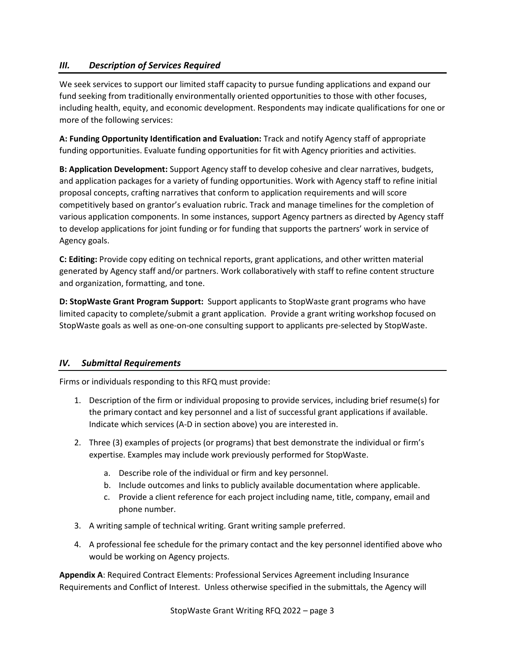## *III. Description of Services Required*

We seek services to support our limited staff capacity to pursue funding applications and expand our fund seeking from traditionally environmentally oriented opportunities to those with other focuses, including health, equity, and economic development. Respondents may indicate qualifications for one or more of the following services:

**A: Funding Opportunity Identification and Evaluation:** Track and notify Agency staff of appropriate funding opportunities. Evaluate funding opportunities for fit with Agency priorities and activities.

**B: Application Development:** Support Agency staff to develop cohesive and clear narratives, budgets, and application packages for a variety of funding opportunities. Work with Agency staff to refine initial proposal concepts, crafting narratives that conform to application requirements and will score competitively based on grantor's evaluation rubric. Track and manage timelines for the completion of various application components. In some instances, support Agency partners as directed by Agency staff to develop applications for joint funding or for funding that supports the partners' work in service of Agency goals.

**C: Editing:** Provide copy editing on technical reports, grant applications, and other written material generated by Agency staff and/or partners. Work collaboratively with staff to refine content structure and organization, formatting, and tone.

**D: StopWaste Grant Program Support:** Support applicants to StopWaste grant programs who have limited capacity to complete/submit a grant application. Provide a grant writing workshop focused on StopWaste goals as well as one-on-one consulting support to applicants pre-selected by StopWaste.

## *IV. Submittal Requirements*

Firms or individuals responding to this RFQ must provide:

- 1. Description of the firm or individual proposing to provide services, including brief resume(s) for the primary contact and key personnel and a list of successful grant applications if available. Indicate which services (A-D in section above) you are interested in.
- 2. Three (3) examples of projects (or programs) that best demonstrate the individual or firm's expertise. Examples may include work previously performed for StopWaste.
	- a. Describe role of the individual or firm and key personnel.
	- b. Include outcomes and links to publicly available documentation where applicable.
	- c. Provide a client reference for each project including name, title, company, email and phone number.
- 3. A writing sample of technical writing. Grant writing sample preferred.
- 4. A professional fee schedule for the primary contact and the key personnel identified above who would be working on Agency projects.

**Appendix A**: Required Contract Elements: Professional Services Agreement including Insurance Requirements and Conflict of Interest. Unless otherwise specified in the submittals, the Agency will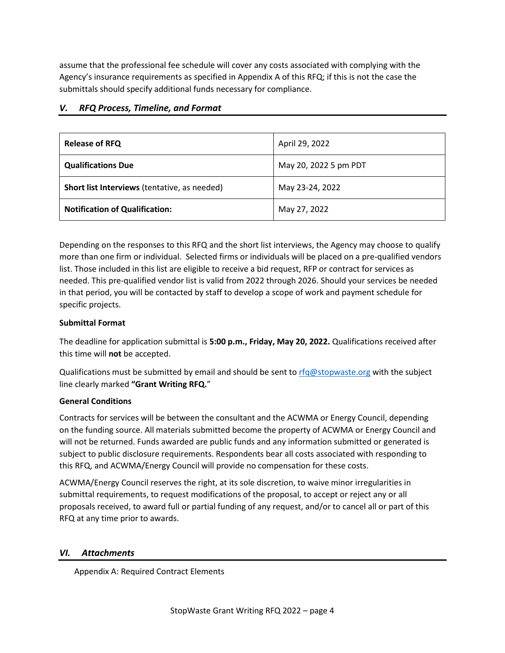assume that the professional fee schedule will cover any costs associated with complying with the Agency's insurance requirements as specified in Appendix A of this RFQ; if this is not the case the submittals should specify additional funds necessary for compliance.

| <b>Release of RFQ</b>                        | April 29, 2022        |
|----------------------------------------------|-----------------------|
| <b>Qualifications Due</b>                    | May 20, 2022 5 pm PDT |
| Short list Interviews (tentative, as needed) | May 23-24, 2022       |
| <b>Notification of Qualification:</b>        | May 27, 2022          |

#### *V. RFQ Process, Timeline, and Format*

Depending on the responses to this RFQ and the short list interviews, the Agency may choose to qualify more than one firm or individual. Selected firms or individuals will be placed on a pre-qualified vendors list. Those included in this list are eligible to receive a bid request, RFP or contract for services as needed. This pre-qualified vendor list is valid from 2022 through 2026. Should your services be needed in that period, you will be contacted by staff to develop a scope of work and payment schedule for specific projects.

#### **Submittal Format**

The deadline for application submittal is **5:00 p.m., Friday, May 20, 2022.** Qualifications received after this time will **not** be accepted.

Qualifications must be submitted by email and should be sent to  $\text{rfq@stopwaste.org}$  $\text{rfq@stopwaste.org}$  $\text{rfq@stopwaste.org}$  with the subject line clearly marked **"Grant Writing RFQ.**"

#### **General Conditions**

Contracts for services will be between the consultant and the ACWMA or Energy Council, depending on the funding source. All materials submitted become the property of ACWMA or Energy Council and will not be returned. Funds awarded are public funds and any information submitted or generated is subject to public disclosure requirements. Respondents bear all costs associated with responding to this RFQ, and ACWMA/Energy Council will provide no compensation for these costs.

ACWMA/Energy Council reserves the right, at its sole discretion, to waive minor irregularities in submittal requirements, to request modifications of the proposal, to accept or reject any or all proposals received, to award full or partial funding of any request, and/or to cancel all or part of this RFQ at any time prior to awards.

## *VI. Attachments*

Appendix A: Required Contract Elements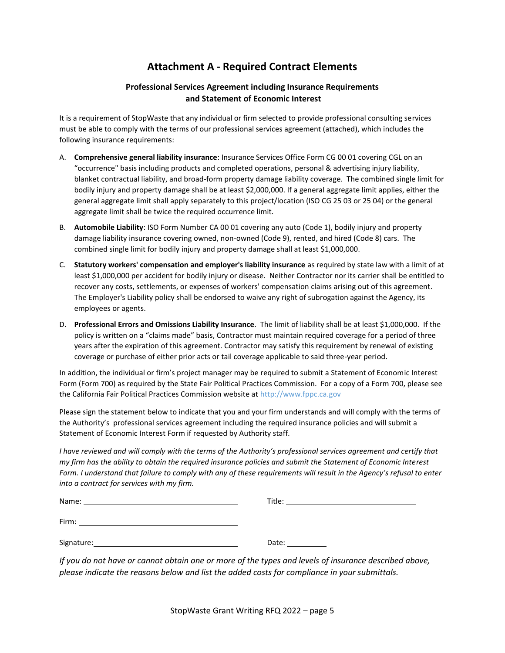## **Attachment A - Required Contract Elements**

#### **Professional Services Agreement including Insurance Requirements and Statement of Economic Interest**

It is a requirement of StopWaste that any individual or firm selected to provide professional consulting services must be able to comply with the terms of our professional services agreement (attached), which includes the following insurance requirements:

- A. **Comprehensive general liability insurance**: Insurance Services Office Form CG 00 01 covering CGL on an "occurrence" basis including products and completed operations, personal & advertising injury liability, blanket contractual liability, and broad-form property damage liability coverage. The combined single limit for bodily injury and property damage shall be at least \$2,000,000. If a general aggregate limit applies, either the general aggregate limit shall apply separately to this project/location (ISO CG 25 03 or 25 04) or the general aggregate limit shall be twice the required occurrence limit.
- B. **Automobile Liability**: ISO Form Number CA 00 01 covering any auto (Code 1), bodily injury and property damage liability insurance covering owned, non-owned (Code 9), rented, and hired (Code 8) cars. The combined single limit for bodily injury and property damage shall at least \$1,000,000.
- C. **Statutory workers' compensation and employer's liability insurance** as required by state law with a limit of at least \$1,000,000 per accident for bodily injury or disease. Neither Contractor nor its carrier shall be entitled to recover any costs, settlements, or expenses of workers' compensation claims arising out of this agreement. The Employer's Liability policy shall be endorsed to waive any right of subrogation against the Agency, its employees or agents.
- D. **Professional Errors and Omissions Liability Insurance**. The limit of liability shall be at least \$1,000,000. If the policy is written on a "claims made" basis, Contractor must maintain required coverage for a period of three years after the expiration of this agreement. Contractor may satisfy this requirement by renewal of existing coverage or purchase of either prior acts or tail coverage applicable to said three-year period.

In addition, the individual or firm's project manager may be required to submit a Statement of Economic Interest Form (Form 700) as required by the State Fair Political Practices Commission. For a copy of a Form 700, please see the California Fair Political Practices Commission website a[t http://www.fppc.ca.gov](http://www.fppc.ca.gov/)

Please sign the statement below to indicate that you and your firm understands and will comply with the terms of the Authority's professional services agreement including the required insurance policies and will submit a Statement of Economic Interest Form if requested by Authority staff.

*I have reviewed and will comply with the terms of the Authority's professional services agreement and certify that my firm has the ability to obtain the required insurance policies and submit the Statement of Economic Interest Form. I understand that failure to comply with any of these requirements will result in the Agency's refusal to enter into a contract for services with my firm.*

| Name:      | Title: |
|------------|--------|
| Firm:      |        |
| Signature: | Date:  |

*If you do not have or cannot obtain one or more of the types and levels of insurance described above, please indicate the reasons below and list the added costs for compliance in your submittals.*